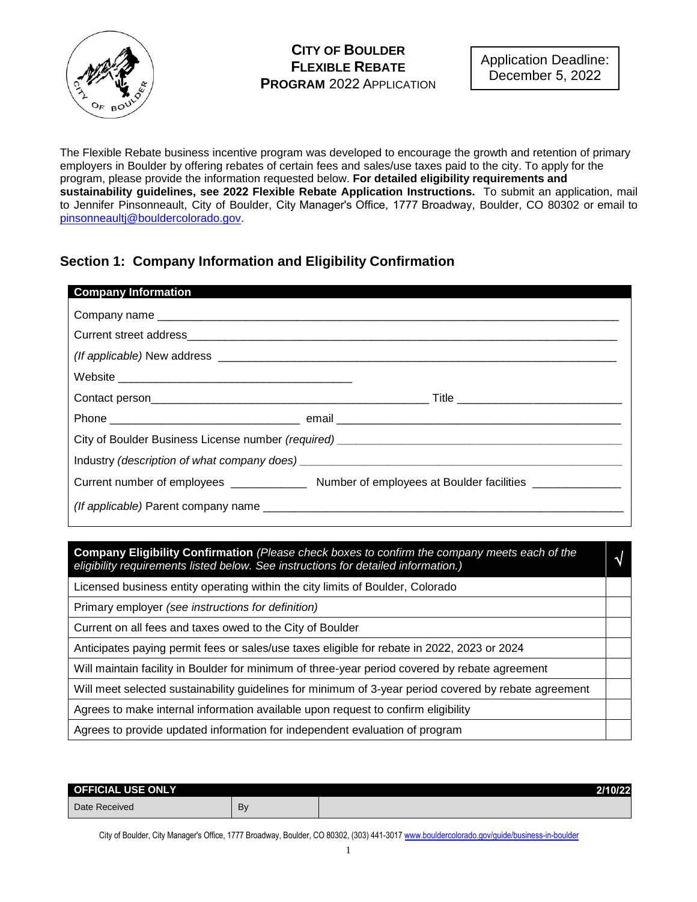

The Flexible Rebate business incentive program was developed to encourage the growth and retention of primary employers in Boulder by offering rebates of certain fees and sales/use taxes paid to the city. To apply for the program, please provide the information requested below. **For detailed eligibility requirements and sustainability guidelines, see 2022 Flexible Rebate Application Instructions.** To submit an application, mail to Jennifer Pinsonneault, City of Boulder, City Manager's Office, 1777 Broadway, Boulder, CO 80302 or email to [pinsonneaultj@bouldercolorado.gov.](mailto:pinsonneaultj@bouldercolorado.gov) 

## **Section 1: Company Information and Eligibility Confirmation**

| <b>Company Information</b>                                                                                                                                                          |  |  |
|-------------------------------------------------------------------------------------------------------------------------------------------------------------------------------------|--|--|
|                                                                                                                                                                                     |  |  |
|                                                                                                                                                                                     |  |  |
|                                                                                                                                                                                     |  |  |
|                                                                                                                                                                                     |  |  |
|                                                                                                                                                                                     |  |  |
|                                                                                                                                                                                     |  |  |
|                                                                                                                                                                                     |  |  |
|                                                                                                                                                                                     |  |  |
|                                                                                                                                                                                     |  |  |
|                                                                                                                                                                                     |  |  |
|                                                                                                                                                                                     |  |  |
| Company Eligibility Confirmation (Please check boxes to confirm the company meets each of the<br>eligibility requirements listed below. See instructions for detailed information.) |  |  |
| Licensed business entity operating within the city limits of Boulder, Colorado                                                                                                      |  |  |
| Primary employer (see instructions for definition)                                                                                                                                  |  |  |
| Current on all fees and taxes owed to the City of Boulder                                                                                                                           |  |  |
| Anticipates paying permit fees or sales/use taxes eligible for rebate in 2022, 2023 or 2024                                                                                         |  |  |

Will maintain facility in Boulder for minimum of three-year period covered by rebate agreement

Will meet selected sustainability guidelines for minimum of 3-year period covered by rebate agreement

Agrees to make internal information available upon request to confirm eligibility

Agrees to provide updated information for independent evaluation of program

| <b>OFFICIAL USE ONLY</b> |    | 2/10/22 |
|--------------------------|----|---------|
| Date Received            | B١ |         |

City of Boulder, City Manager's Office, 1777 Broadway, Boulder, CO 80302, (303) 441-3017 www.boulde[rcolorado.gov/](http://www.bouldercolorado.gov/business)guide/business-in-boulder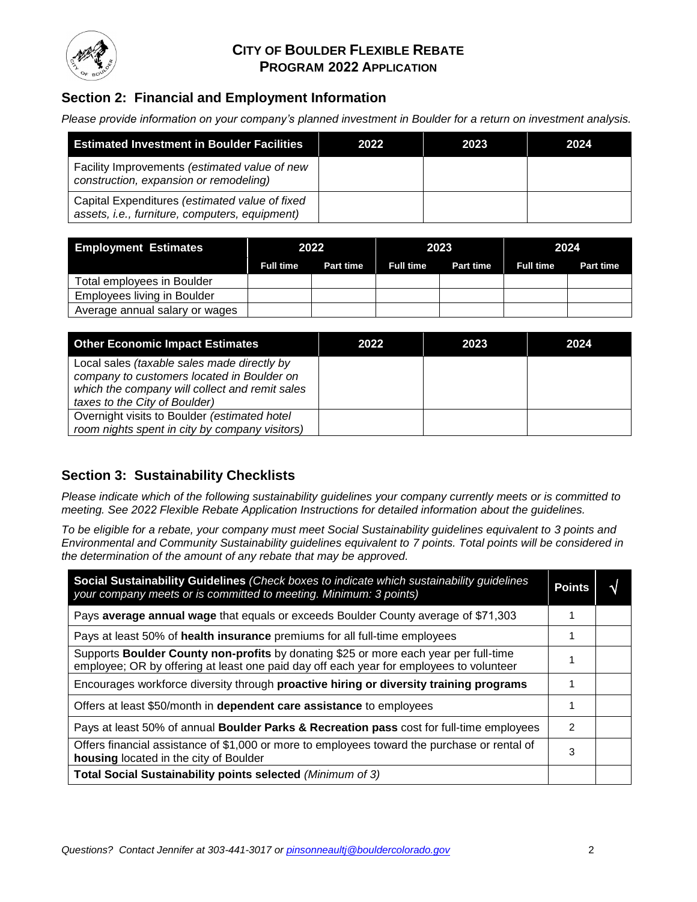

## **CITY OF BOULDER FLEXIBLE REBATE PROGRAM 2022 APPLICATION**

# **Section 2: Financial and Employment Information**

*Please provide information on your company's planned investment in Boulder for a return on investment analysis.* 

| <b>Estimated Investment in Boulder Facilities</b>                                                | 2022 | 2023 | 2024 |
|--------------------------------------------------------------------------------------------------|------|------|------|
| Facility Improvements (estimated value of new<br>construction, expansion or remodeling)          |      |      |      |
| Capital Expenditures (estimated value of fixed<br>assets, i.e., furniture, computers, equipment) |      |      |      |

| <b>Employment Estimates</b>    | 2022             |                  | 2023             |                  | 2024             |                  |
|--------------------------------|------------------|------------------|------------------|------------------|------------------|------------------|
|                                | <b>Full time</b> | <b>Part time</b> | <b>Full time</b> | <b>Part time</b> | <b>Full time</b> | <b>Part time</b> |
| Total employees in Boulder     |                  |                  |                  |                  |                  |                  |
| Employees living in Boulder    |                  |                  |                  |                  |                  |                  |
| Average annual salary or wages |                  |                  |                  |                  |                  |                  |

| <b>Other Economic Impact Estimates</b>                                                                                                                                       | 2022 | 2023 | 2024 |
|------------------------------------------------------------------------------------------------------------------------------------------------------------------------------|------|------|------|
| Local sales (taxable sales made directly by<br>company to customers located in Boulder on<br>which the company will collect and remit sales<br>taxes to the City of Boulder) |      |      |      |
| Overnight visits to Boulder (estimated hotel<br>room nights spent in city by company visitors)                                                                               |      |      |      |

## **Section 3: Sustainability Checklists**

*Please indicate which of the following sustainability guidelines your company currently meets or is committed to meeting. See 2022 Flexible Rebate Application Instructions for detailed information about the guidelines.*

*To be eligible for a rebate, your company must meet Social Sustainability guidelines equivalent to 3 points and Environmental and Community Sustainability guidelines equivalent to 7 points. Total points will be considered in the determination of the amount of any rebate that may be approved.* 

| Social Sustainability Guidelines (Check boxes to indicate which sustainability guidelines<br>your company meets or is committed to meeting. Minimum: 3 points)                  | <b>Points</b> | V |
|---------------------------------------------------------------------------------------------------------------------------------------------------------------------------------|---------------|---|
| Pays average annual wage that equals or exceeds Boulder County average of \$71,303                                                                                              |               |   |
| Pays at least 50% of health insurance premiums for all full-time employees                                                                                                      |               |   |
| Supports Boulder County non-profits by donating \$25 or more each year per full-time<br>employee; OR by offering at least one paid day off each year for employees to volunteer |               |   |
| Encourages workforce diversity through proactive hiring or diversity training programs                                                                                          |               |   |
| Offers at least \$50/month in dependent care assistance to employees                                                                                                            |               |   |
| Pays at least 50% of annual Boulder Parks & Recreation pass cost for full-time employees                                                                                        |               |   |
| Offers financial assistance of \$1,000 or more to employees toward the purchase or rental of<br>housing located in the city of Boulder                                          |               |   |
| Total Social Sustainability points selected (Minimum of 3)                                                                                                                      |               |   |